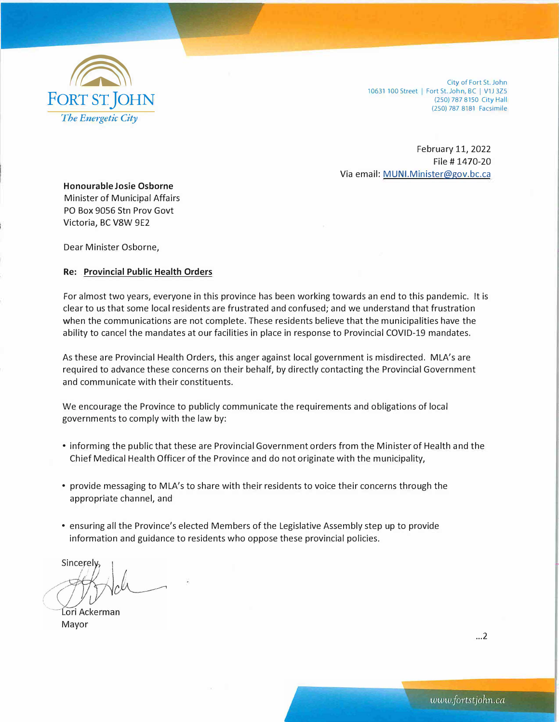

City of Fort St. John 10631 100 Street | Fort St. John, BC | V1J 3Z5 (250) 787 8150 City Hall (250) 787 8181 Facsimile

February 11, 2022 File# 1470-20 Via email: MUNI.Minister@gov.bc.ca

**Honourable Josie Osborne**  Minister of Municipal Affairs PO Box 9056 Stn Prov Govt Victoria, BC V8W 9E2

Dear Minister Osborne,

## **Re: Provincial Public Health Orders**

For almost two years, everyone in this province has been working towards an end to this pandemic. It is clear to us that some local residents are frustrated and confused; and we understand that frustration when the communications are not complete. These residents believe that the municipalities have the ability to cancel the mandates at our facilities in place in response to Provincial COVID-19 mandates.

As these are Provincial Health Orders, this anger against local government is misdirected. MLA's are required to advance these concerns on their behalf, by directly contacting the Provincial Government and communicate with their constituents.

We encourage the Province to publicly communicate the requirements and obligations of local governments to comply with the law by:

- informing the public that these are Provincial Government orders from the Minister of Health and the Chief Medical Health Officer of the Province and do not originate with the municipality,
- provide messaging to MLA's to share with their residents to voice their concerns through the appropriate channel, and
- ensuring all the Province's elected Members of the Legislative Assembly step up to provide information and guidance to residents who oppose these provincial policies.

**Sincerely** 

Lori Ackerman Mayor

. .. 2